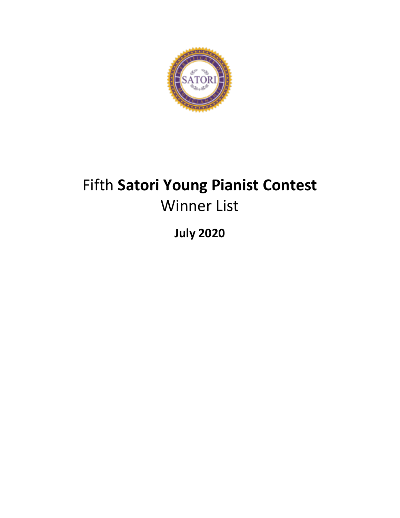

# Fifth **Satori Young Pianist Contest** Winner List

**July 2020**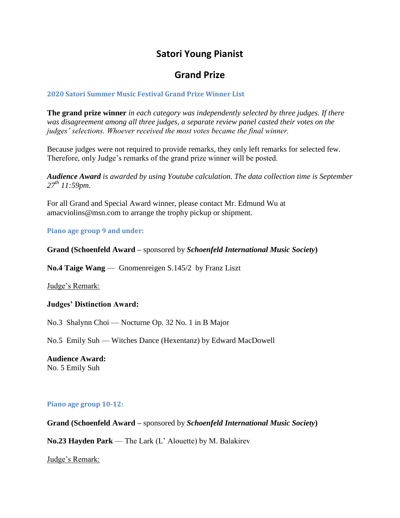### **Satori Young Pianist**

### **Grand Prize**

#### **2020 Satori Summer Music Festival Grand Prize Winner List**

**The grand prize winner** *in each category was independently selected by three judges. If there was disagreement among all three judges, a separate review panel casted their votes on the judges' selections. Whoever received the most votes became the final winner.*

Because judges were not required to provide remarks, they only left remarks for selected few. Therefore, only Judge's remarks of the grand prize winner will be posted.

*Audience Award is awarded by using Youtube calculation. The data collection time is September 27th 11:59pm.* 

For all Grand and Special Award winner, please contact Mr. Edmund Wu at amacviolins@msn.com to arrange the trophy pickup or shipment.

#### **Piano age group 9 and under:**

#### **Grand (Schoenfeld Award –** sponsored by *Schoenfeld International Music Society***)**

**No.4 Taige Wang** — Gnomenreigen S.145/2 by Franz Liszt

Judge's Remark:

#### **Judges' Distinction Award:**

No.3 Shalynn Choi — Nocturne Op. 32 No. 1 in B Major

No.5 Emily Suh — Witches Dance (Hexentanz) by Edward MacDowell

#### **Audience Award:**

No. 5 Emily Suh

#### **Piano age group 10-12:**

**Grand (Schoenfeld Award –** sponsored by *Schoenfeld International Music Society***)**

**No.23 Hayden Park** — The Lark (L' Alouette) by M. Balakirev

Judge's Remark: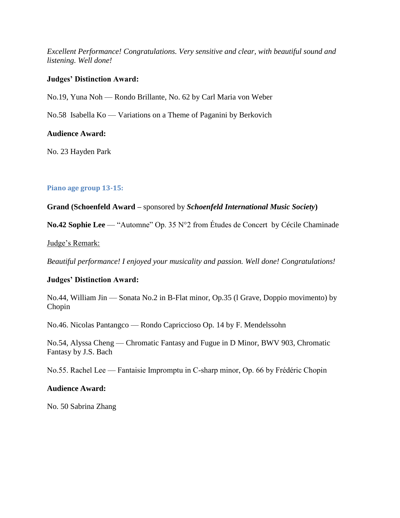*Excellent Performance! Congratulations. Very sensitive and clear, with beautiful sound and listening. Well done!*

#### **Judges' Distinction Award:**

No.19, Yuna Noh — Rondo Brillante, No. 62 by Carl Maria von Weber

No.58 Isabella Ko — Variations on a Theme of Paganini by Berkovich

#### **Audience Award:**

No. 23 Hayden Park

#### **Piano age group 13-15:**

**Grand (Schoenfeld Award –** sponsored by *Schoenfeld International Music Society***)**

**No.42 Sophie Lee** — "Automne" Op. 35 N°2 from Études de Concert by Cécile Chaminade

#### Judge's Remark:

*Beautiful performance! I enjoyed your musicality and passion. Well done! Congratulations!*

#### **Judges' Distinction Award:**

No.44, William Jin — Sonata No.2 in B-Flat minor, Op.35 (l Grave, Doppio movimento) by Chopin

No.46. Nicolas Pantangco — Rondo Capriccioso Op. 14 by F. Mendelssohn

No.54, Alyssa Cheng — Chromatic Fantasy and Fugue in D Minor, BWV 903, Chromatic Fantasy by J.S. Bach

No.55. Rachel Lee — Fantaisie Impromptu in C-sharp minor, Op. 66 by Frédéric Chopin

#### **Audience Award:**

No. 50 Sabrina Zhang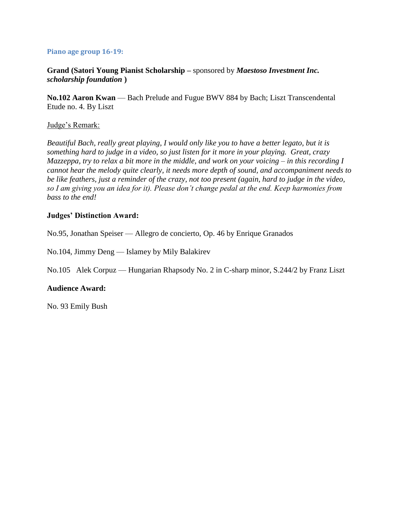#### **Piano age group 16-19:**

**Grand (Satori Young Pianist Scholarship –** sponsored by *Maestoso Investment Inc. scholarship foundation* **)**

**No.102 Aaron Kwan** — Bach Prelude and Fugue BWV 884 by Bach; Liszt Transcendental Etude no. 4. By Liszt

#### Judge's Remark:

*Beautiful Bach, really great playing, I would only like you to have a better legato, but it is something hard to judge in a video, so just listen for it more in your playing. Great, crazy Mazzeppa, try to relax a bit more in the middle, and work on your voicing – in this recording I cannot hear the melody quite clearly, it needs more depth of sound, and accompaniment needs to be like feathers, just a reminder of the crazy, not too present (again, hard to judge in the video, so I am giving you an idea for it). Please don't change pedal at the end. Keep harmonies from bass to the end!*

#### **Judges' Distinction Award:**

No.95, Jonathan Speiser — Allegro de concierto, Op. 46 by Enrique Granados

No.104, Jimmy Deng — Islamey by Mily Balakirev

No.105 Alek Corpuz — Hungarian Rhapsody No. 2 in C-sharp minor, S.244/2 by Franz Liszt

#### **Audience Award:**

No. 93 Emily Bush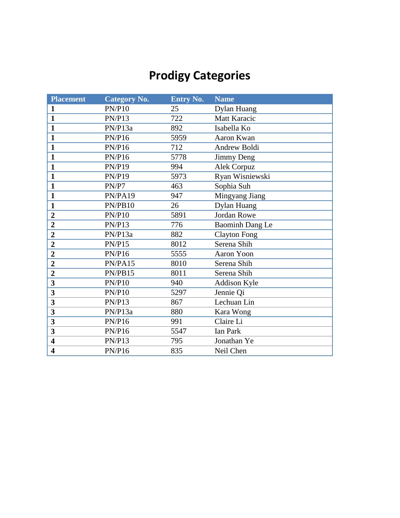## **Prodigy Categories**

| <b>Placement</b>        | <b>Category No.</b> | <b>Entry No.</b> | <b>Name</b>         |
|-------------------------|---------------------|------------------|---------------------|
| $\mathbf{1}$            | PN/P10              | 25               | Dylan Huang         |
| $\mathbf{1}$            | <b>PN/P13</b>       | 722              | Matt Karacic        |
| $\mathbf{1}$            | PN/P13a             | 892              | Isabella Ko         |
| $\mathbf{1}$            | PN/P16              | 5959             | Aaron Kwan          |
| $\mathbf{1}$            | <b>PN/P16</b>       | 712              | Andrew Boldi        |
| $\mathbf{1}$            | PN/P16              | 5778             | <b>Jimmy Deng</b>   |
| $\mathbf{1}$            | <b>PN/P19</b>       | 994              | Alek Corpuz         |
| $\mathbf{1}$            | <b>PN/P19</b>       | 5973             | Ryan Wisniewski     |
| $\mathbf{1}$            | PN/P7               | 463              | Sophia Suh          |
| $\mathbf{1}$            | PN/PA19             | 947              | Mingyang Jiang      |
| $\mathbf{1}$            | PN/PB10             | 26               | Dylan Huang         |
| $\overline{2}$          | <b>PN/P10</b>       | 5891             | <b>Jordan Rowe</b>  |
| $\overline{2}$          | PN/P13              | 776              | Baominh Dang Le     |
| $\overline{2}$          | PN/P13a             | 882              | <b>Clayton Fong</b> |
| $\boldsymbol{2}$        | <b>PN/P15</b>       | 8012             | Serena Shih         |
| $\overline{2}$          | <b>PN/P16</b>       | 5555             | <b>Aaron Yoon</b>   |
| $\overline{2}$          | PN/PA15             | 8010             | Serena Shih         |
| $\boldsymbol{2}$        | PN/PB15             | 8011             | Serena Shih         |
| 3                       | <b>PN/P10</b>       | 940              | Addison Kyle        |
| 3                       | PN/P10              | 5297             | Jennie Qi           |
| 3                       | <b>PN/P13</b>       | 867              | Lechuan Lin         |
| 3                       | PN/P13a             | 880              | Kara Wong           |
| 3                       | <b>PN/P16</b>       | 991              | Claire Li           |
| 3                       | <b>PN/P16</b>       | 5547             | <b>Ian Park</b>     |
| $\overline{\mathbf{4}}$ | <b>PN/P13</b>       | 795              | Jonathan Ye         |
| $\overline{\mathbf{4}}$ | <b>PN/P16</b>       | 835              | Neil Chen           |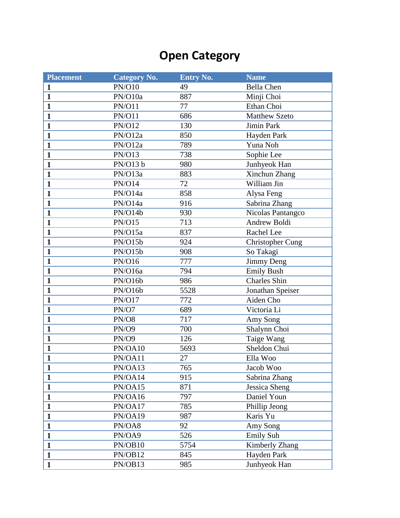### **Open Category**

| <b>Placement</b> | <b>Category No.</b> | <b>Entry No.</b> | <b>Name</b>             |
|------------------|---------------------|------------------|-------------------------|
| $\mathbf{1}$     | <b>PN/O10</b>       | 49               | <b>Bella Chen</b>       |
| $\mathbf{1}$     | PN/O10a             | 887              | Minji Choi              |
| $\mathbf{1}$     | PN/O11              | 77               | Ethan Choi              |
| $\mathbf{1}$     | <b>PN/O11</b>       | 686              | <b>Matthew Szeto</b>    |
| $\mathbf{1}$     | <b>PN/O12</b>       | 130              | Jimin Park              |
| $\mathbf{1}$     | PN/O12a             | 850              | Hayden Park             |
| $\mathbf{1}$     | PN/O12a             | 789              | Yuna Noh                |
| $\mathbf{1}$     | <b>PN/O13</b>       | 738              | Sophie Lee              |
| $\mathbf{1}$     | PN/O13 b            | 980              | Junhyeok Han            |
| $\mathbf{1}$     | PN/O13a             | 883              | Xinchun Zhang           |
| $\mathbf{1}$     | <b>PN/O14</b>       | 72               | William Jin             |
| $\mathbf{1}$     | PN/O14a             | 858              | Alysa Feng              |
| $\mathbf{1}$     | PN/O14a             | 916              | Sabrina Zhang           |
| $\mathbf{1}$     | PN/O14b             | 930              | Nicolas Pantangco       |
| $\mathbf{1}$     | <b>PN/O15</b>       | 713              | <b>Andrew Boldi</b>     |
| $\mathbf{1}$     | PN/O15a             | 837              | Rachel Lee              |
| $\mathbf{1}$     | PN/O15b             | 924              | <b>Christopher Cung</b> |
| $\mathbf{1}$     | PN/O15b             | 908              | So Takagi               |
| $\mathbf{1}$     | PN/O16              | 777              | <b>Jimmy Deng</b>       |
| $\mathbf{1}$     | PN/O16a             | 794              | <b>Emily Bush</b>       |
| $\mathbf{1}$     | PN/O16b             | 986              | <b>Charles Shin</b>     |
| $\mathbf{1}$     | PN/O16b             | 5528             | Jonathan Speiser        |
| $\mathbf{1}$     | <b>PN/O17</b>       | 772              | Aiden Cho               |
| $\mathbf{1}$     | PN/O7               | 689              | Victoria Li             |
| $\mathbf{1}$     | PN/O8               | 717              | Amy Song                |
| $\mathbf{1}$     | <b>PN/O9</b>        | 700              | Shalynn Choi            |
| $\mathbf{1}$     | <b>PN/O9</b>        | 126              | Taige Wang              |
| $\mathbf{1}$     | PN/OA10             | 5693             | Sheldon Chui            |
| $\mathbf{1}$     | PN/OA11             | 27               | Ella Woo                |
| 1                | PN/OA13             | 765              | Jacob Woo               |
| $\mathbf{1}$     | PN/OA14             | 915              | Sabrina Zhang           |
| $\mathbf{1}$     | PN/OA15             | 871              | Jessica Sheng           |
| $\mathbf{1}$     | PN/OA16             | 797              | Daniel Youn             |
| $\mathbf{1}$     | PN/OA17             | 785              | Phillip Jeong           |
| $\mathbf{1}$     | PN/OA19             | 987              | Karis Yu                |
| $\mathbf{1}$     | PN/OA8              | 92               | Amy Song                |
| $\mathbf{1}$     | PN/OA9              | 526              | Emily Suh               |
| $\mathbf{1}$     | PN/OB10             | 5754             | Kimberly Zhang          |
| $\mathbf{1}$     | PN/OB12             | 845              | Hayden Park             |
| $\mathbf{1}$     | PN/OB13             | 985              | Junhyeok Han            |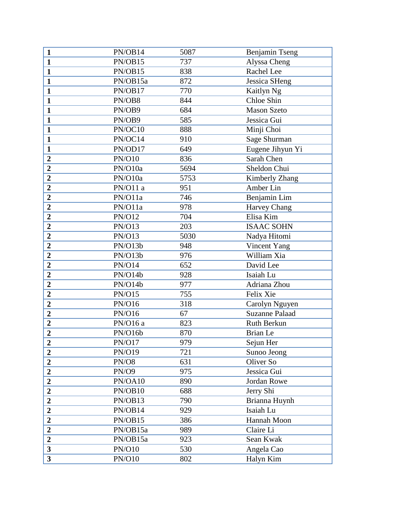| $\mathbf{1}$            | PN/OB14       | 5087 | Benjamin Tseng        |
|-------------------------|---------------|------|-----------------------|
| $\mathbf{1}$            | PN/OB15       | 737  | Alyssa Cheng          |
| $\mathbf{1}$            | PN/OB15       | 838  | Rachel Lee            |
| $\mathbf{1}$            | PN/OB15a      | 872  | <b>Jessica SHeng</b>  |
| $\mathbf{1}$            | PN/OB17       | 770  | Kaitlyn Ng            |
| $\mathbf{1}$            | PN/OB8        | 844  | Chloe Shin            |
| $\mathbf{1}$            | PN/OB9        | 684  | <b>Mason Szeto</b>    |
| $\mathbf{1}$            | PN/OB9        | 585  | Jessica Gui           |
| $\mathbf{1}$            | PN/OC10       | 888  | Minji Choi            |
| $\mathbf{1}$            | PN/OC14       | 910  | Sage Shurman          |
| $\mathbf{1}$            | PN/OD17       | 649  | Eugene Jihyun Yi      |
| $\overline{2}$          | <b>PN/O10</b> | 836  | Sarah Chen            |
| $\overline{2}$          | PN/O10a       | 5694 | Sheldon Chui          |
| $\overline{2}$          | PN/O10a       | 5753 | Kimberly Zhang        |
| $\boldsymbol{2}$        | PN/O11 a      | 951  | Amber Lin             |
| $\boldsymbol{2}$        | PN/O11a       | 746  | Benjamin Lim          |
| $\overline{2}$          | PN/O11a       | 978  | <b>Harvey Chang</b>   |
| $\overline{2}$          | <b>PN/O12</b> | 704  | Elisa Kim             |
| $\overline{2}$          | <b>PN/O13</b> | 203  | <b>ISAAC SOHN</b>     |
| $\overline{2}$          | <b>PN/O13</b> | 5030 | Nadya Hitomi          |
| $\overline{2}$          | PN/O13b       | 948  | Vincent Yang          |
| $\overline{2}$          | PN/O13b       | 976  | William Xia           |
| $\overline{2}$          | <b>PN/O14</b> | 652  | David Lee             |
| $\overline{2}$          | PN/O14b       | 928  | Isaiah Lu             |
| $\overline{2}$          | PN/O14b       | 977  | Adriana Zhou          |
| $\overline{2}$          | PN/O15        | 755  | Felix Xie             |
| $\boldsymbol{2}$        | PN/O16        | 318  | Carolyn Nguyen        |
| $\boldsymbol{2}$        | PN/O16        | 67   | <b>Suzanne Palaad</b> |
| $\overline{2}$          | PN/O16 a      | 823  | Ruth Berkun           |
| $\boldsymbol{2}$        | PN/O16b       | 870  | <b>Brian</b> Le       |
| $\boldsymbol{2}$        | PN/O17        | 979  | Sejun Her             |
| $\boldsymbol{2}$        | PN/O19        | 721  | Sunoo Jeong           |
| $\overline{2}$          | PN/O8         | 631  | Oliver So             |
| $\overline{2}$          | PN/O9         | 975  | Jessica Gui           |
| $\overline{2}$          | PN/OA10       | 890  | Jordan Rowe           |
| $\overline{2}$          | PN/OB10       | 688  | Jerry Shi             |
| $\overline{2}$          | PN/OB13       | 790  | Brianna Huynh         |
| $\overline{2}$          | PN/OB14       | 929  | Isaiah Lu             |
| $\boldsymbol{2}$        | PN/OB15       | 386  | Hannah Moon           |
| $\overline{2}$          | PN/OB15a      | 989  | Claire Li             |
| $\boldsymbol{2}$        | PN/OB15a      | 923  | Sean Kwak             |
| $\overline{\mathbf{3}}$ | <b>PN/O10</b> | 530  | Angela Cao            |
| $\overline{\mathbf{3}}$ | <b>PN/O10</b> | 802  | Halyn Kim             |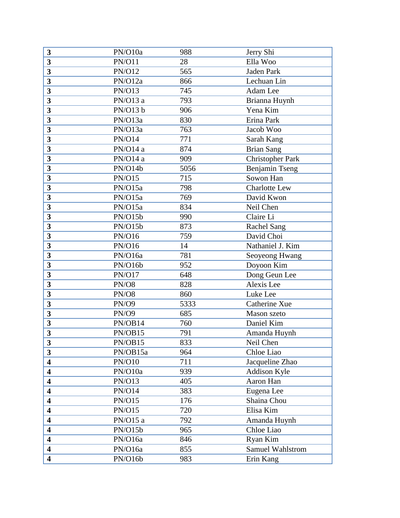| 3                       | PN/O10a       | 988  | Jerry Shi               |
|-------------------------|---------------|------|-------------------------|
| 3                       | <b>PN/O11</b> | 28   | Ella Woo                |
| $\overline{\mathbf{3}}$ | <b>PN/O12</b> | 565  | Jaden Park              |
| $\overline{\mathbf{3}}$ | PN/O12a       | 866  | Lechuan Lin             |
| $\overline{\mathbf{3}}$ | <b>PN/O13</b> | 745  | Adam Lee                |
| 3                       | PN/O13 a      | 793  | Brianna Huynh           |
| $\overline{\mathbf{3}}$ | PN/O13 b      | 906  | Yena Kim                |
| $\overline{\mathbf{3}}$ | PN/O13a       | 830  | Erina Park              |
| $\overline{\mathbf{3}}$ | PN/O13a       | 763  | Jacob Woo               |
| 3                       | <b>PN/O14</b> | 771  | Sarah Kang              |
| $\mathbf{3}$            | PN/O14 a      | 874  | <b>Brian Sang</b>       |
| 3                       | PN/O14 a      | 909  | <b>Christopher Park</b> |
| $\mathbf{3}$            | PN/O14b       | 5056 | Benjamin Tseng          |
| $\mathbf{3}$            | <b>PN/O15</b> | 715  | Sowon Han               |
| 3                       | PN/O15a       | 798  | <b>Charlotte Lew</b>    |
| 3                       | PN/O15a       | 769  | David Kwon              |
| $\overline{\mathbf{3}}$ | PN/O15a       | 834  | Neil Chen               |
| $\mathbf{3}$            | PN/O15b       | 990  | Claire Li               |
| $\overline{\mathbf{3}}$ | PN/O15b       | 873  | <b>Rachel Sang</b>      |
| $\overline{\mathbf{3}}$ | PN/O16        | 759  | David Choi              |
| 3                       | PN/O16        | 14   | Nathaniel J. Kim        |
| $\overline{\mathbf{3}}$ | PN/O16a       | 781  | Seoyeong Hwang          |
| $\overline{\mathbf{3}}$ | PN/O16b       | 952  | Doyoon Kim              |
| $\overline{\mathbf{3}}$ | <b>PN/O17</b> | 648  | Dong Geun Lee           |
| 3                       | PN/O8         | 828  | Alexis Lee              |
| 3                       | PN/O8         | 860  | Luke Lee                |
| 3                       | <b>PN/O9</b>  | 5333 | Catherine Xue           |
| 3                       | PN/O9         | 685  | Mason szeto             |
| 3                       | PN/OB14       | 760  | Daniel Kim              |
| 3                       | PN/OB15       | 791  | Amanda Huynh            |
| 3                       | PN/OB15       | 833  | Neil Chen               |
| $\mathbf{3}$            | PN/OB15a      | 964  | Chloe Liao              |
| $\overline{\mathbf{4}}$ | <b>PN/O10</b> | 711  | Jacqueline Zhao         |
| $\overline{\mathbf{4}}$ | PN/O10a       | 939  | Addison Kyle            |
| $\overline{\mathbf{4}}$ | PN/O13        | 405  | Aaron Han               |
| $\overline{\mathbf{4}}$ | <b>PN/O14</b> | 383  | Eugena Lee              |
| $\overline{\mathbf{4}}$ | PN/O15        | 176  | Shaina Chou             |
| $\overline{\mathbf{4}}$ | <b>PN/O15</b> | 720  | Elisa Kim               |
| 4                       | PN/O15a       | 792  | Amanda Huynh            |
| $\overline{\mathbf{4}}$ | PN/O15b       | 965  | Chloe Liao              |
| $\overline{\mathbf{4}}$ | PN/O16a       | 846  | Ryan Kim                |
| $\overline{\mathbf{4}}$ | PN/O16a       | 855  | Samuel Wahlstrom        |
| $\overline{\mathbf{4}}$ | PN/O16b       | 983  | Erin Kang               |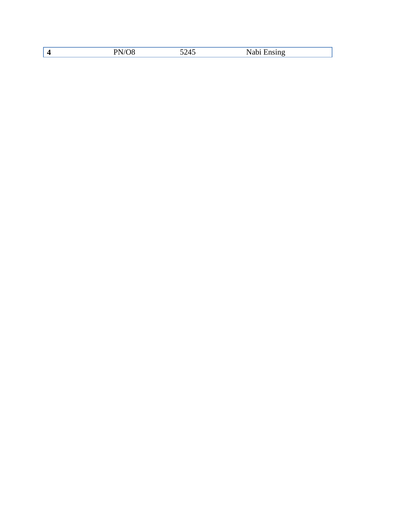|--|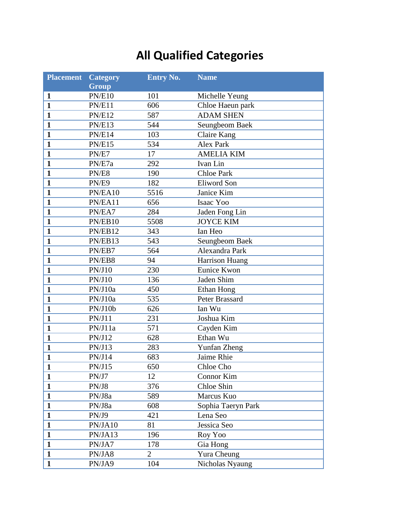# **All Qualified Categories**

| <b>Placement</b> | <b>Category</b> | <b>Entry No.</b> | <b>Name</b>        |
|------------------|-----------------|------------------|--------------------|
|                  | <b>Group</b>    |                  |                    |
| 1                | <b>PN/E10</b>   | 101              | Michelle Yeung     |
| $\mathbf{1}$     | PN/E11          | 606              | Chloe Haeun park   |
| $\mathbf{1}$     | <b>PN/E12</b>   | 587              | <b>ADAM SHEN</b>   |
| $\mathbf{1}$     | <b>PN/E13</b>   | 544              | Seungbeom Baek     |
| $\mathbf{1}$     | PN/E14          | 103              | <b>Claire Kang</b> |
| $\mathbf{1}$     | <b>PN/E15</b>   | 534              | <b>Alex Park</b>   |
| $\mathbf{1}$     | PN/E7           | 17               | <b>AMELIA KIM</b>  |
| $\mathbf{1}$     | PN/E7a          | 292              | Ivan Lin           |
| $\mathbf{1}$     | PN/E8           | 190              | <b>Chloe Park</b>  |
| $\mathbf{1}$     | PN/E9           | 182              | <b>Eliword Son</b> |
| $\mathbf{1}$     | PN/EA10         | 5516             | Janice Kim         |
| $\mathbf{1}$     | PN/EA11         | 656              | Isaac Yoo          |
| $\mathbf{1}$     | PN/EA7          | 284              | Jaden Fong Lin     |
| $\mathbf{1}$     | PN/EB10         | 5508             | <b>JOYCE KIM</b>   |
| $\mathbf{1}$     | PN/EB12         | 343              | Ian Heo            |
| $\mathbf{1}$     | PN/EB13         | 543              | Seungbeom Baek     |
| $\mathbf{1}$     | PN/EB7          | 564              | Alexandra Park     |
| $\mathbf{1}$     | PN/EB8          | 94               | Harrison Huang     |
| $\mathbf{1}$     | PN/J10          | 230              | Eunice Kwon        |
| $\mathbf{1}$     | PN/J10          | 136              | Jaden Shim         |
| $\mathbf{1}$     | PN/J10a         | 450              | Ethan Hong         |
| $\mathbf{1}$     | PN/J10a         | 535              | Peter Brassard     |
| $\mathbf{1}$     | PN/J10b         | 626              | Ian Wu             |
| $\mathbf{1}$     | PN/J11          | 231              | Joshua Kim         |
| $\mathbf{1}$     | PN/J11a         | 571              | Cayden Kim         |
| $\mathbf{1}$     | PN/J12          | 628              | Ethan Wu           |
| 1                | PN/J13          | 283              | Yunfan Zheng       |
| $\mathbf{1}$     | PN/J14          | 683              | Jaime Rhie         |
| 1                | PN/J15          | 650              | Chloe Cho          |
| $\mathbf{1}$     | PN/J7           | 12               | Connor Kim         |
| $\mathbf{1}$     | PN/J8           | 376              | Chloe Shin         |
| $\mathbf{1}$     | PN/J8a          | 589              | Marcus Kuo         |
| $\mathbf{1}$     | PN/J8a          | 608              | Sophia Taeryn Park |
| $\mathbf{1}$     | PN/J9           | 421              | Lena Seo           |
| $\mathbf{1}$     | PN/JA10         | 81               | Jessica Seo        |
| $\mathbf{1}$     | PN/JA13         | 196              | Roy Yoo            |
| $\mathbf{1}$     | PN/JA7          | 178              | Gia Hong           |
| $\mathbf{1}$     | PN/JA8          | $\overline{2}$   | Yura Cheung        |
| $\mathbf{1}$     | PN/JA9          | 104              | Nicholas Nyaung    |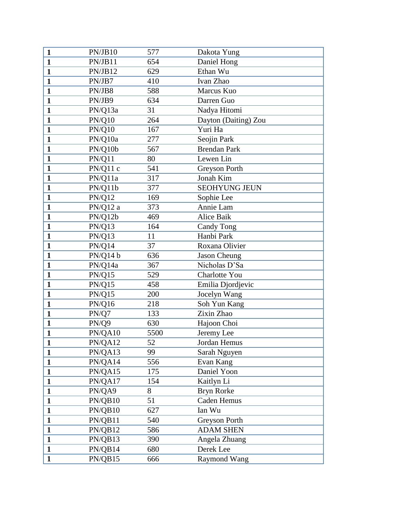| $\mathbf{1}$ | PN/JB10       | 577  | Dakota Yung          |  |
|--------------|---------------|------|----------------------|--|
| $\mathbf{1}$ | PN/JB11       | 654  | Daniel Hong          |  |
| $\mathbf{1}$ | PN/JB12       | 629  | Ethan Wu             |  |
| $\mathbf{1}$ | PN/JB7        | 410  | Ivan Zhao            |  |
| $\mathbf{1}$ | PN/JB8        | 588  | Marcus Kuo           |  |
| $\mathbf{1}$ | PN/JB9        | 634  | Darren Guo           |  |
| $\mathbf{1}$ | PN/Q13a       | 31   | Nadya Hitomi         |  |
| $\mathbf{1}$ | <b>PN/Q10</b> | 264  | Dayton (Daiting) Zou |  |
| $\mathbf{1}$ | <b>PN/Q10</b> | 167  | Yuri Ha              |  |
| $\mathbf{1}$ | PN/Q10a       | 277  | Seojin Park          |  |
| $\mathbf{1}$ | PN/Q10b       | 567  | <b>Brendan Park</b>  |  |
| $\mathbf{1}$ | PN/Q11        | 80   | Lewen Lin            |  |
| $\mathbf{1}$ | PN/Q11c       | 541  | Greyson Porth        |  |
| $\mathbf{1}$ | PN/Q11a       | 317  | Jonah Kim            |  |
| $\mathbf{1}$ | PN/Q11b       | 377  | <b>SEOHYUNG JEUN</b> |  |
| $\mathbf{1}$ | <b>PN/Q12</b> | 169  | Sophie Lee           |  |
| $\mathbf{1}$ | PN/Q12a       | 373  | Annie Lam            |  |
| $\mathbf{1}$ | PN/Q12b       | 469  | Alice Baik           |  |
| $\mathbf{1}$ | <b>PN/Q13</b> | 164  | Candy Tong           |  |
| $\mathbf{1}$ | PN/Q13        | 11   | Hanbi Park           |  |
| $\mathbf{1}$ | PN/Q14        | 37   | Roxana Olivier       |  |
| $\mathbf{1}$ | PN/Q14 b      | 636  | <b>Jason Cheung</b>  |  |
| $\mathbf{1}$ | PN/Q14a       | 367  | Nicholas D'Sa        |  |
| $\mathbf{1}$ | <b>PN/Q15</b> | 529  | Charlotte You        |  |
| $\mathbf{1}$ | PN/Q15        | 458  | Emilia Djordjevic    |  |
| $\mathbf{1}$ | <b>PN/Q15</b> | 200  | Jocelyn Wang         |  |
| $\mathbf{1}$ | <b>PN/Q16</b> | 218  | Soh Yun Kang         |  |
| $\mathbf{1}$ | PN/Q7         | 133  | Zixin Zhao           |  |
| $\mathbf{1}$ | PN/Q9         | 630  | Hajoon Choi          |  |
| $\mathbf{1}$ | PN/QA10       | 5500 | Jeremy Lee           |  |
| 1            | PN/QA12       | 52   | Jordan Hemus         |  |
| $\mathbf{1}$ | PN/QA13       | 99   | Sarah Nguyen         |  |
| $\mathbf{1}$ | PN/QA14       | 556  | Evan Kang            |  |
| $\mathbf{1}$ | PN/QA15       | 175  | Daniel Yoon          |  |
| $\mathbf{1}$ | PN/QA17       | 154  | Kaitlyn Li           |  |
| $\mathbf{1}$ | PN/QA9        | 8    | <b>Bryn Rorke</b>    |  |
| $\mathbf{1}$ | PN/QB10       | 51   | Caden Hemus          |  |
| $\mathbf{1}$ | PN/QB10       | 627  | Ian Wu               |  |
| $\mathbf{1}$ | PN/QB11       | 540  | <b>Greyson Porth</b> |  |
| $\mathbf{1}$ | PN/QB12       | 586  | <b>ADAM SHEN</b>     |  |
| $\mathbf{1}$ | PN/QB13       | 390  | Angela Zhuang        |  |
| $\mathbf{1}$ | PN/QB14       | 680  | Derek Lee            |  |
| $\mathbf{1}$ | PN/QB15       | 666  | Raymond Wang         |  |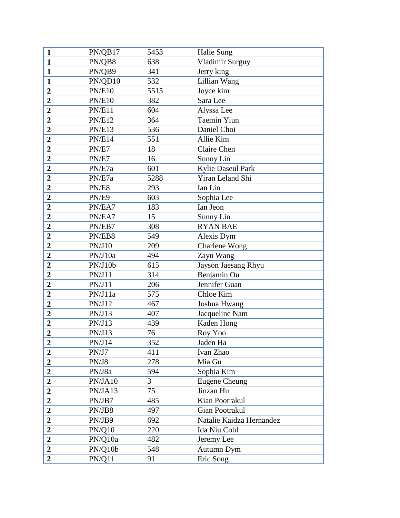| $\mathbf{1}$     | PN/QB17       | 5453 | Halie Sung               |
|------------------|---------------|------|--------------------------|
| $\mathbf{1}$     | PN/QB8        | 638  | Vladimir Surguy          |
| $\mathbf{1}$     | PN/QB9        | 341  | Jerry king               |
| $\mathbf{1}$     | PN/QD10       | 532  | Lillian Wang             |
| $\boldsymbol{2}$ | <b>PN/E10</b> | 5515 | Joyce kim                |
| $\overline{2}$   | <b>PN/E10</b> | 382  | Sara Lee                 |
| $\overline{2}$   | PN/E11        | 604  | Alyssa Lee               |
| $\overline{2}$   | <b>PN/E12</b> | 364  | Taemin Yiun              |
| $\overline{2}$   | <b>PN/E13</b> | 536  | Daniel Choi              |
| $\overline{2}$   | PN/E14        | 551  | Allie Kim                |
| $\overline{2}$   | PN/E7         | 18   | Claire Chen              |
| $\boldsymbol{2}$ | PN/E7         | 16   | Sunny Lin                |
| $\overline{2}$   | PN/E7a        | 601  | <b>Kylie Daseul Park</b> |
| $\overline{2}$   | PN/E7a        | 5288 | Yiran Leland Shi         |
| $\overline{2}$   | PN/E8         | 293  | Ian Lin                  |
| $\overline{2}$   | PN/E9         | 603  | Sophia Lee               |
| $\overline{2}$   | PN/EA7        | 183  | Ian Jeon                 |
| $\overline{2}$   | PN/EA7        | 15   | Sunny Lin                |
| $\overline{2}$   | PN/EB7        | 308  | <b>RYAN BAE</b>          |
| $\overline{2}$   | PN/EB8        | 549  | Alexis Dym               |
| $\overline{2}$   | PN/J10        | 209  | Charlene Wong            |
| $\overline{2}$   | PN/J10a       | 494  | Zayn Wang                |
| $\overline{2}$   | PN/J10b       | 615  | Jayson Jaesang Rhyu      |
| $\overline{2}$   | PN/J11        | 314  | Benjamin Ou              |
| $\overline{2}$   | PN/J11        | 206  | Jennifer Guan            |
| $\overline{2}$   | PN/J11a       | 575  | Chloe Kim                |
| $\boldsymbol{2}$ | PN/J12        | 467  | Joshua Hwang             |
| $\overline{2}$   | PN/J13        | 407  | Jacqueline Nam           |
| $\overline{2}$   | PN/J13        | 439  | Kaden Hong               |
| $\overline{2}$   | PN/J13        | 76   | Roy Yoo                  |
| 2                | PN/J14        | 352  | Jaden Ha                 |
| $\overline{2}$   | PN/J7         | 411  | Ivan Zhao                |
| $\overline{2}$   | PN/J8         | 278  | Mia Gu                   |
| $\overline{2}$   | PN/J8a        | 594  | Sophia Kim               |
| $\overline{2}$   | PN/JA10       | 3    | <b>Eugene Cheung</b>     |
| $\overline{2}$   | PN/JA13       | 75   | Jinzan Hu                |
| $\overline{2}$   | PN/JB7        | 485  | Kian Pootrakul           |
| $\overline{2}$   | PN/JB8        | 497  | <b>Gian Pootrakul</b>    |
| $\overline{2}$   | PN/JB9        | 692  | Natalie Kaidza Hernandez |
| $\overline{2}$   | PN/Q10        | 220  | Ida Niu Cohl             |
| $\boldsymbol{2}$ | PN/Q10a       | 482  | Jeremy Lee               |
| $\overline{2}$   | PN/Q10b       | 548  | Autumn Dym               |
| $\overline{2}$   | PN/Q11        | 91   | Eric Song                |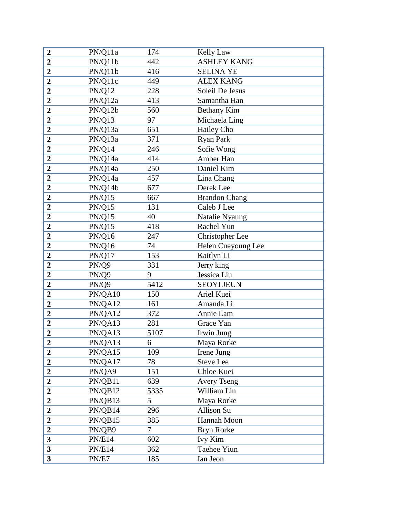| $\boldsymbol{2}$        | PN/Q11a       | 174    | Kelly Law            |
|-------------------------|---------------|--------|----------------------|
| $\overline{2}$          | PN/Q11b       | 442    | <b>ASHLEY KANG</b>   |
| $\overline{2}$          | PN/Q11b       | 416    | <b>SELINA YE</b>     |
| $\overline{2}$          | PN/Q11c       | 449    | <b>ALEX KANG</b>     |
| $\boldsymbol{2}$        | PN/Q12        | 228    | Soleil De Jesus      |
| $\overline{2}$          | PN/Q12a       | 413    | Samantha Han         |
| $\overline{2}$          | PN/Q12b       | 560    | <b>Bethany Kim</b>   |
| $\overline{2}$          | <b>PN/Q13</b> | 97     | Michaela Ling        |
| $\overline{2}$          | PN/Q13a       | 651    | Hailey Cho           |
| $\overline{2}$          | PN/Q13a       | 371    | Ryan Park            |
| $\overline{2}$          | PN/Q14        | 246    | Sofie Wong           |
| $\overline{2}$          | PN/Q14a       | 414    | Amber Han            |
| $\overline{2}$          | PN/Q14a       | 250    | Daniel Kim           |
| $\overline{2}$          | PN/Q14a       | 457    | Lina Chang           |
| $\overline{2}$          | PN/Q14b       | 677    | Derek Lee            |
| $\overline{2}$          | <b>PN/Q15</b> | 667    | <b>Brandon Chang</b> |
| $\overline{2}$          | PN/Q15        | 131    | Caleb J Lee          |
| $\overline{2}$          | PN/Q15        | 40     | Natalie Nyaung       |
| $\overline{2}$          | PN/Q15        | 418    | Rachel Yun           |
| $\overline{2}$          | <b>PN/Q16</b> | 247    | Christopher Lee      |
| $\overline{2}$          | <b>PN/Q16</b> | 74     | Helen Cueyoung Lee   |
| $\overline{2}$          | PN/Q17        | 153    | Kaitlyn Li           |
| $\overline{2}$          | PN/Q9         | 331    | Jerry king           |
| $\overline{2}$          | PN/Q9         | 9      | Jessica Liu          |
| $\overline{2}$          | PN/Q9         | 5412   | <b>SEOYI JEUN</b>    |
| $\overline{2}$          | PN/QA10       | 150    | Ariel Kuei           |
| $\overline{2}$          | PN/QA12       | 161    | Amanda Li            |
| $\overline{2}$          | PN/QA12       | 372    | Annie Lam            |
| $\boldsymbol{2}$        | PN/QA13       | 281    | Grace Yan            |
| $\overline{2}$          | PN/QA13       | 5107   | Irwin Jung           |
| 2                       | PN/QA13       | 6      | Maya Rorke           |
| $\overline{2}$          | PN/QA15       | 109    | Irene Jung           |
| $\overline{2}$          | PN/QA17       | 78     | Steve Lee            |
| $\overline{2}$          | PN/QA9        | 151    | Chloe Kuei           |
| $\boldsymbol{2}$        | PN/QB11       | 639    | <b>Avery Tseng</b>   |
| $\overline{2}$          | PN/QB12       | 5335   | William Lin          |
| $\overline{2}$          | PN/QB13       | 5      | Maya Rorke           |
| $\overline{2}$          | PN/QB14       | 296    | <b>Allison Su</b>    |
| $\overline{2}$          | PN/QB15       | 385    | Hannah Moon          |
| $\overline{2}$          | PN/QB9        | $\tau$ | <b>Bryn Rorke</b>    |
| 3                       | PN/E14        | 602    | Ivy Kim              |
| $\overline{\mathbf{3}}$ | <b>PN/E14</b> | 362    | Taehee Yiun          |
| $\overline{\mathbf{3}}$ | PN/E7         | 185    | Ian Jeon             |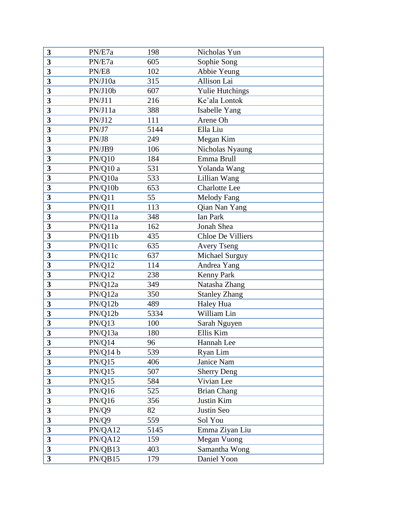| 3                       | PN/E7a        | 198  | Nicholas Yun             |
|-------------------------|---------------|------|--------------------------|
| 3                       | PN/E7a        | 605  | Sophie Song              |
| $\overline{\mathbf{3}}$ | PN/E8         | 102  | Abbie Yeung              |
| $\overline{\mathbf{3}}$ | PN/J10a       | 315  | Allison Lai              |
| $\overline{\mathbf{3}}$ | PN/J10b       | 607  | <b>Yulie Hutchings</b>   |
| $\overline{\mathbf{3}}$ | PN/J11        | 216  | Ke'ala Lontok            |
| 3                       | PN/J11a       | 388  | Isabelle Yang            |
| 3                       | PN/J12        | 111  | Arene Oh                 |
| 3                       | PN/J7         | 5144 | Ella Liu                 |
| 3                       | PN/J8         | 249  | Megan Kim                |
| 3                       | PN/JB9        | 106  | Nicholas Nyaung          |
| 3                       | <b>PN/Q10</b> | 184  | Emma Brull               |
| 3                       | PN/Q10 a      | 531  | Yolanda Wang             |
| 3                       | PN/Q10a       | 533  | Lillian Wang             |
| 3                       | PN/Q10b       | 653  | <b>Charlotte Lee</b>     |
| 3                       | PN/Q11        | 55   | <b>Melody Fang</b>       |
| 3                       | PN/Q11        | 113  | Qian Nan Yang            |
| 3                       | PN/Q11a       | 348  | Ian Park                 |
| $\overline{\mathbf{3}}$ | PN/Q11a       | 162  | Jonah Shea               |
| $\overline{\mathbf{3}}$ | PN/Q11b       | 435  | <b>Chloe De Villiers</b> |
| 3                       | PN/Q11c       | 635  | <b>Avery Tseng</b>       |
| 3                       | PN/Q11c       | 637  | Michael Surguy           |
| 3                       | <b>PN/Q12</b> | 114  | Andrea Yang              |
| 3                       | <b>PN/Q12</b> | 238  | <b>Kenny Park</b>        |
| 3                       | PN/Q12a       | 349  | Natasha Zhang            |
| 3                       | PN/Q12a       | 350  | <b>Stanley Zhang</b>     |
| 3                       | PN/Q12b       | 489  | Haley Hua                |
| 3                       | PN/Q12b       | 5334 | William Lin              |
| 3                       | <b>PN/Q13</b> | 100  | Sarah Nguyen             |
| 3                       | PN/Q13a       | 180  | Ellis Kim                |
| 3                       | PN/Q14        | 96   | Hannah Lee               |
| 3                       | PN/Q14 b      | 539  | Ryan Lim                 |
| 3                       | <b>PN/Q15</b> | 406  | Janice Nam               |
| $\overline{\mathbf{3}}$ | PN/Q15        | 507  | <b>Sherry Deng</b>       |
| $\overline{\mathbf{3}}$ | PN/Q15        | 584  | Vivian Lee               |
| $\overline{\mathbf{3}}$ | PN/Q16        | 525  | <b>Brian Chang</b>       |
| $\overline{\mathbf{3}}$ | <b>PN/Q16</b> | 356  | Justin Kim               |
| $\overline{\mathbf{3}}$ | PN/Q9         | 82   | Justin Seo               |
| 3                       | PN/Q9         | 559  | Sol You                  |
| $\overline{\mathbf{3}}$ | PN/QA12       | 5145 | Emma Ziyan Liu           |
| $\mathbf{3}$            | PN/QA12       | 159  | Megan Vuong              |
| $\overline{\mathbf{3}}$ | PN/QB13       | 403  | Samantha Wong            |
| $\overline{\mathbf{3}}$ | PN/QB15       | 179  | Daniel Yoon              |